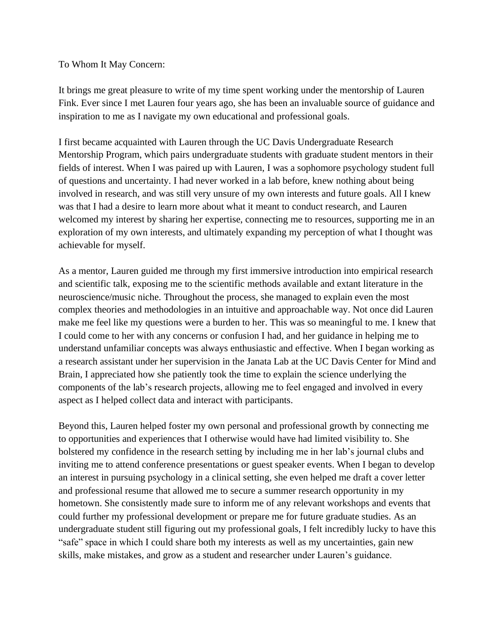## To Whom It May Concern:

It brings me great pleasure to write of my time spent working under the mentorship of Lauren Fink. Ever since I met Lauren four years ago, she has been an invaluable source of guidance and inspiration to me as I navigate my own educational and professional goals.

I first became acquainted with Lauren through the UC Davis Undergraduate Research Mentorship Program, which pairs undergraduate students with graduate student mentors in their fields of interest. When I was paired up with Lauren, I was a sophomore psychology student full of questions and uncertainty. I had never worked in a lab before, knew nothing about being involved in research, and was still very unsure of my own interests and future goals. All I knew was that I had a desire to learn more about what it meant to conduct research, and Lauren welcomed my interest by sharing her expertise, connecting me to resources, supporting me in an exploration of my own interests, and ultimately expanding my perception of what I thought was achievable for myself.

As a mentor, Lauren guided me through my first immersive introduction into empirical research and scientific talk, exposing me to the scientific methods available and extant literature in the neuroscience/music niche. Throughout the process, she managed to explain even the most complex theories and methodologies in an intuitive and approachable way. Not once did Lauren make me feel like my questions were a burden to her. This was so meaningful to me. I knew that I could come to her with any concerns or confusion I had, and her guidance in helping me to understand unfamiliar concepts was always enthusiastic and effective. When I began working as a research assistant under her supervision in the Janata Lab at the UC Davis Center for Mind and Brain, I appreciated how she patiently took the time to explain the science underlying the components of the lab's research projects, allowing me to feel engaged and involved in every aspect as I helped collect data and interact with participants.

Beyond this, Lauren helped foster my own personal and professional growth by connecting me to opportunities and experiences that I otherwise would have had limited visibility to. She bolstered my confidence in the research setting by including me in her lab's journal clubs and inviting me to attend conference presentations or guest speaker events. When I began to develop an interest in pursuing psychology in a clinical setting, she even helped me draft a cover letter and professional resume that allowed me to secure a summer research opportunity in my hometown. She consistently made sure to inform me of any relevant workshops and events that could further my professional development or prepare me for future graduate studies. As an undergraduate student still figuring out my professional goals, I felt incredibly lucky to have this "safe" space in which I could share both my interests as well as my uncertainties, gain new skills, make mistakes, and grow as a student and researcher under Lauren's guidance.